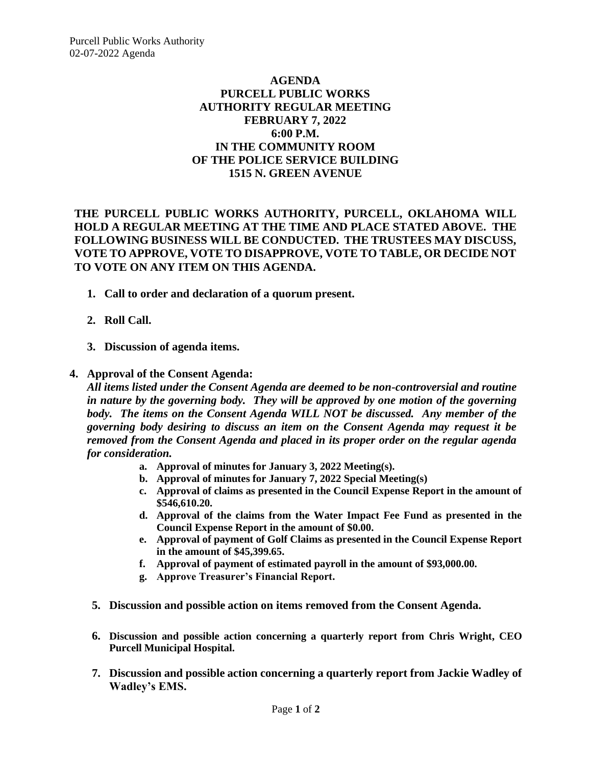## **AGENDA PURCELL PUBLIC WORKS AUTHORITY REGULAR MEETING FEBRUARY 7, 2022 6:00 P.M. IN THE COMMUNITY ROOM OF THE POLICE SERVICE BUILDING 1515 N. GREEN AVENUE**

**THE PURCELL PUBLIC WORKS AUTHORITY, PURCELL, OKLAHOMA WILL HOLD A REGULAR MEETING AT THE TIME AND PLACE STATED ABOVE. THE FOLLOWING BUSINESS WILL BE CONDUCTED. THE TRUSTEES MAY DISCUSS, VOTE TO APPROVE, VOTE TO DISAPPROVE, VOTE TO TABLE, OR DECIDE NOT TO VOTE ON ANY ITEM ON THIS AGENDA.**

- **1. Call to order and declaration of a quorum present.**
- **2. Roll Call.**
- **3. Discussion of agenda items.**

## **4. Approval of the Consent Agenda:**

*All items listed under the Consent Agenda are deemed to be non-controversial and routine in nature by the governing body. They will be approved by one motion of the governing body. The items on the Consent Agenda WILL NOT be discussed. Any member of the governing body desiring to discuss an item on the Consent Agenda may request it be removed from the Consent Agenda and placed in its proper order on the regular agenda for consideration.*

- **a. Approval of minutes for January 3, 2022 Meeting(s).**
- **b. Approval of minutes for January 7, 2022 Special Meeting(s)**
- **c. Approval of claims as presented in the Council Expense Report in the amount of \$546,610.20.**
- **d. Approval of the claims from the Water Impact Fee Fund as presented in the Council Expense Report in the amount of \$0.00.**
- **e. Approval of payment of Golf Claims as presented in the Council Expense Report in the amount of \$45,399.65.**
- **f. Approval of payment of estimated payroll in the amount of \$93,000.00.**
- **g. Approve Treasurer's Financial Report.**
- **5. Discussion and possible action on items removed from the Consent Agenda.**
- **6. Discussion and possible action concerning a quarterly report from Chris Wright, CEO Purcell Municipal Hospital.**
- **7. Discussion and possible action concerning a quarterly report from Jackie Wadley of Wadley's EMS.**